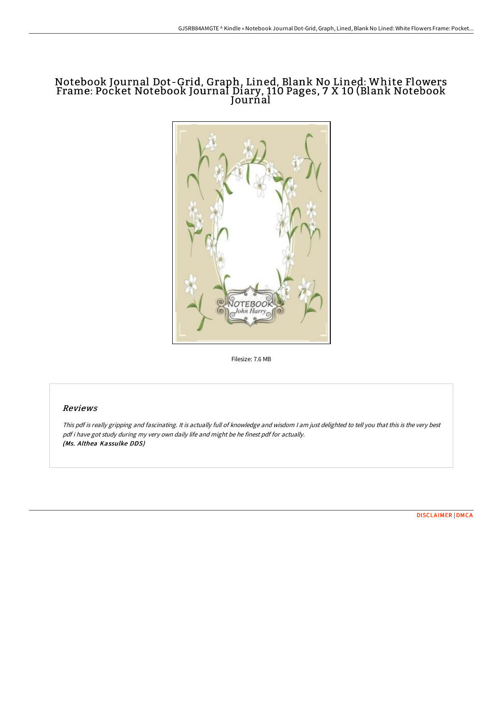## Notebook Journal Dot-Grid, Graph, Lined, Blank No Lined: White Flowers Frame: Pocket Notebook Journal Diary, 110 Pages, 7 X 10 (Blank Notebook Jourńal



Filesize: 7.6 MB

#### Reviews

This pdf is really gripping and fascinating. It is actually full of knowledge and wisdom <sup>I</sup> am just delighted to tell you that this is the very best pdf i have got study during my very own daily life and might be he finest pdf for actually. (Ms. Althea Kassulke DDS)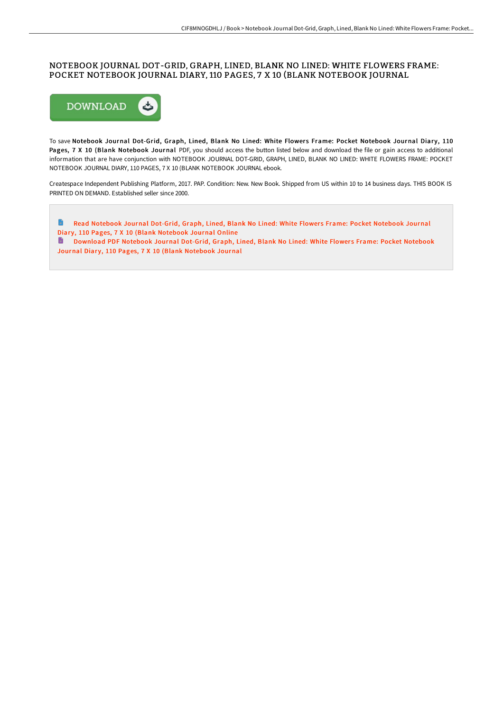### NOTEBOOK JOURNAL DOT-GRID, GRAPH, LINED, BLANK NO LINED: WHITE FLOWERS FRAME: POCKET NOTEBOOK JOURNAL DIARY, 110 PAGES, 7 X 10 (BLANK NOTEBOOK JOURNAL



To save Notebook Journal Dot-Grid, Graph, Lined, Blank No Lined: White Flowers Frame: Pocket Notebook Journal Diary, 110 Pages, 7 X 10 (Blank Notebook Journal PDF, you should access the button listed below and download the file or gain access to additional information that are have conjunction with NOTEBOOK JOURNAL DOT-GRID, GRAPH, LINED, BLANK NO LINED: WHITE FLOWERS FRAME: POCKET NOTEBOOK JOURNAL DIARY, 110 PAGES, 7 X 10 (BLANK NOTEBOOK JOURNAL ebook.

Createspace Independent Publishing Platform, 2017. PAP. Condition: New. New Book. Shipped from US within 10 to 14 business days. THIS BOOK IS PRINTED ON DEMAND. Established seller since 2000.